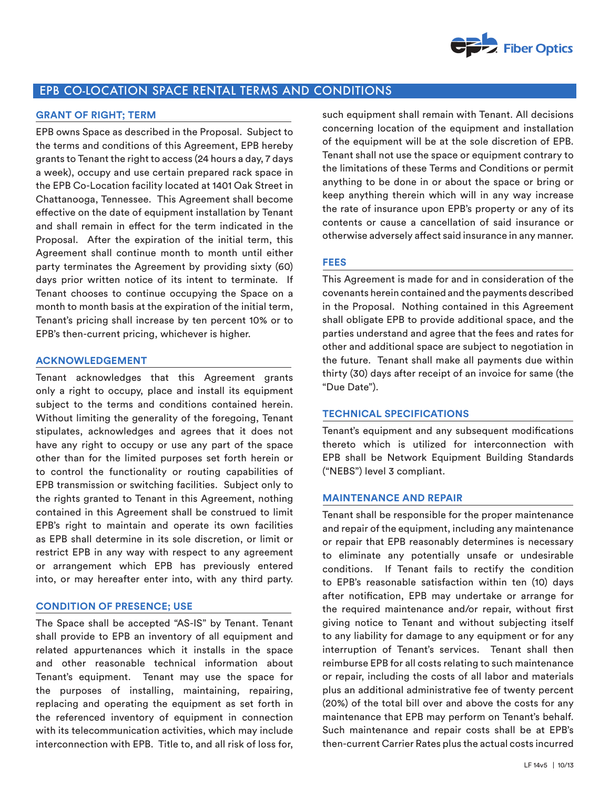

# EPB CO-LOCATION SPACE RENTAL TERMS AND CONDITIONS

# **GRANT OF RIGHT; TERM**

EPB owns Space as described in the Proposal. Subject to the terms and conditions of this Agreement, EPB hereby grants to Tenant the right to access (24 hours a day, 7 days a week), occupy and use certain prepared rack space in the EPB Co-Location facility located at 1401 Oak Street in Chattanooga, Tennessee. This Agreement shall become effective on the date of equipment installation by Tenant and shall remain in effect for the term indicated in the Proposal. After the expiration of the initial term, this Agreement shall continue month to month until either party terminates the Agreement by providing sixty (60) days prior written notice of its intent to terminate. If Tenant chooses to continue occupying the Space on a month to month basis at the expiration of the initial term, Tenant's pricing shall increase by ten percent 10% or to EPB's then-current pricing, whichever is higher.

#### **ACKNOWLEDGEMENT**

Tenant acknowledges that this Agreement grants only a right to occupy, place and install its equipment subject to the terms and conditions contained herein. Without limiting the generality of the foregoing, Tenant stipulates, acknowledges and agrees that it does not have any right to occupy or use any part of the space other than for the limited purposes set forth herein or to control the functionality or routing capabilities of EPB transmission or switching facilities. Subject only to the rights granted to Tenant in this Agreement, nothing contained in this Agreement shall be construed to limit EPB's right to maintain and operate its own facilities as EPB shall determine in its sole discretion, or limit or restrict EPB in any way with respect to any agreement or arrangement which EPB has previously entered into, or may hereafter enter into, with any third party.

#### **CONDITION OF PRESENCE; USE**

The Space shall be accepted "AS-IS" by Tenant. Tenant shall provide to EPB an inventory of all equipment and related appurtenances which it installs in the space and other reasonable technical information about Tenant's equipment. Tenant may use the space for the purposes of installing, maintaining, repairing, replacing and operating the equipment as set forth in the referenced inventory of equipment in connection with its telecommunication activities, which may include interconnection with EPB. Title to, and all risk of loss for, such equipment shall remain with Tenant. All decisions concerning location of the equipment and installation of the equipment will be at the sole discretion of EPB. Tenant shall not use the space or equipment contrary to the limitations of these Terms and Conditions or permit anything to be done in or about the space or bring or keep anything therein which will in any way increase the rate of insurance upon EPB's property or any of its contents or cause a cancellation of said insurance or otherwise adversely affect said insurance in any manner.

# **FEES**

This Agreement is made for and in consideration of the covenants herein contained and the payments described in the Proposal. Nothing contained in this Agreement shall obligate EPB to provide additional space, and the parties understand and agree that the fees and rates for other and additional space are subject to negotiation in the future. Tenant shall make all payments due within thirty (30) days after receipt of an invoice for same (the "Due Date").

# **TECHNICAL SPECIFICATIONS**

Tenant's equipment and any subsequent modifications thereto which is utilized for interconnection with EPB shall be Network Equipment Building Standards ("NEBS") level 3 compliant.

# **MAINTENANCE AND REPAIR**

Tenant shall be responsible for the proper maintenance and repair of the equipment, including any maintenance or repair that EPB reasonably determines is necessary to eliminate any potentially unsafe or undesirable conditions. If Tenant fails to rectify the condition to EPB's reasonable satisfaction within ten (10) days after notification, EPB may undertake or arrange for the required maintenance and/or repair, without first giving notice to Tenant and without subjecting itself to any liability for damage to any equipment or for any interruption of Tenant's services. Tenant shall then reimburse EPB for all costs relating to such maintenance or repair, including the costs of all labor and materials plus an additional administrative fee of twenty percent (20%) of the total bill over and above the costs for any maintenance that EPB may perform on Tenant's behalf. Such maintenance and repair costs shall be at EPB's then-current Carrier Rates plus the actual costs incurred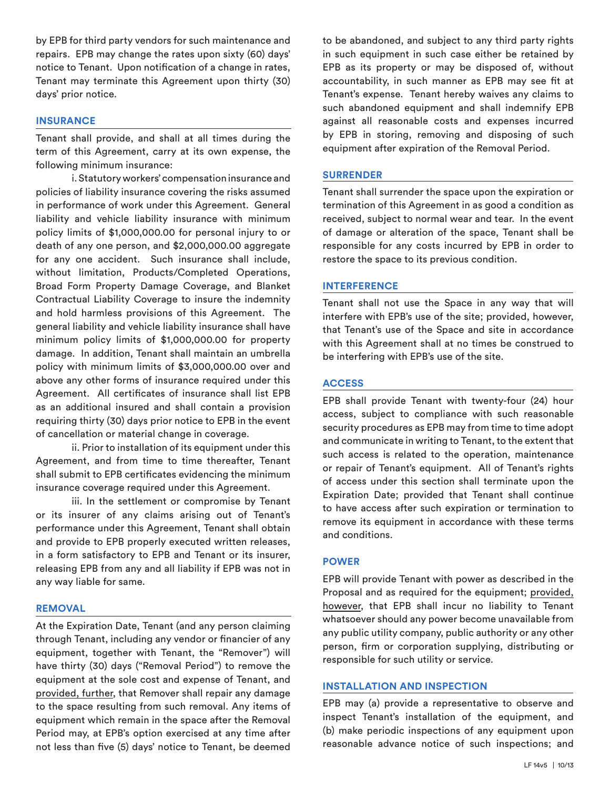by EPB for third party vendors for such maintenance and repairs. EPB may change the rates upon sixty (60) days' notice to Tenant. Upon notification of a change in rates, Tenant may terminate this Agreement upon thirty (30) days' prior notice.

# **INSURANCE**

Tenant shall provide, and shall at all times during the term of this Agreement, carry at its own expense, the following minimum insurance:

i. Statutory workers' compensation insurance and policies of liability insurance covering the risks assumed in performance of work under this Agreement. General liability and vehicle liability insurance with minimum policy limits of \$1,000,000.00 for personal injury to or death of any one person, and \$2,000,000.00 aggregate for any one accident. Such insurance shall include, without limitation, Products/Completed Operations, Broad Form Property Damage Coverage, and Blanket Contractual Liability Coverage to insure the indemnity and hold harmless provisions of this Agreement. The general liability and vehicle liability insurance shall have minimum policy limits of \$1,000,000.00 for property damage. In addition, Tenant shall maintain an umbrella policy with minimum limits of \$3,000,000.00 over and above any other forms of insurance required under this Agreement. All certificates of insurance shall list EPB as an additional insured and shall contain a provision requiring thirty (30) days prior notice to EPB in the event of cancellation or material change in coverage.

ii. Prior to installation of its equipment under this Agreement, and from time to time thereafter, Tenant shall submit to EPB certificates evidencing the minimum insurance coverage required under this Agreement.

iii. In the settlement or compromise by Tenant or its insurer of any claims arising out of Tenant's performance under this Agreement, Tenant shall obtain and provide to EPB properly executed written releases, in a form satisfactory to EPB and Tenant or its insurer, releasing EPB from any and all liability if EPB was not in any way liable for same.

#### **REMOVAL**

At the Expiration Date, Tenant (and any person claiming through Tenant, including any vendor or financier of any equipment, together with Tenant, the "Remover") will have thirty (30) days ("Removal Period") to remove the equipment at the sole cost and expense of Tenant, and provided, further, that Remover shall repair any damage to the space resulting from such removal. Any items of equipment which remain in the space after the Removal Period may, at EPB's option exercised at any time after not less than five (5) days' notice to Tenant, be deemed

to be abandoned, and subject to any third party rights in such equipment in such case either be retained by EPB as its property or may be disposed of, without accountability, in such manner as EPB may see fit at Tenant's expense. Tenant hereby waives any claims to such abandoned equipment and shall indemnify EPB against all reasonable costs and expenses incurred by EPB in storing, removing and disposing of such equipment after expiration of the Removal Period.

#### **SURRENDER**

Tenant shall surrender the space upon the expiration or termination of this Agreement in as good a condition as received, subject to normal wear and tear. In the event of damage or alteration of the space, Tenant shall be responsible for any costs incurred by EPB in order to restore the space to its previous condition.

#### **INTERFERENCE**

Tenant shall not use the Space in any way that will interfere with EPB's use of the site; provided, however, that Tenant's use of the Space and site in accordance with this Agreement shall at no times be construed to be interfering with EPB's use of the site.

#### **ACCESS**

EPB shall provide Tenant with twenty-four (24) hour access, subject to compliance with such reasonable security procedures as EPB may from time to time adopt and communicate in writing to Tenant, to the extent that such access is related to the operation, maintenance or repair of Tenant's equipment. All of Tenant's rights of access under this section shall terminate upon the Expiration Date; provided that Tenant shall continue to have access after such expiration or termination to remove its equipment in accordance with these terms and conditions.

### **POWER**

EPB will provide Tenant with power as described in the Proposal and as required for the equipment; provided, however, that EPB shall incur no liability to Tenant whatsoever should any power become unavailable from any public utility company, public authority or any other person, firm or corporation supplying, distributing or responsible for such utility or service.

### **INSTALLATION AND INSPECTION**

EPB may (a) provide a representative to observe and inspect Tenant's installation of the equipment, and (b) make periodic inspections of any equipment upon reasonable advance notice of such inspections; and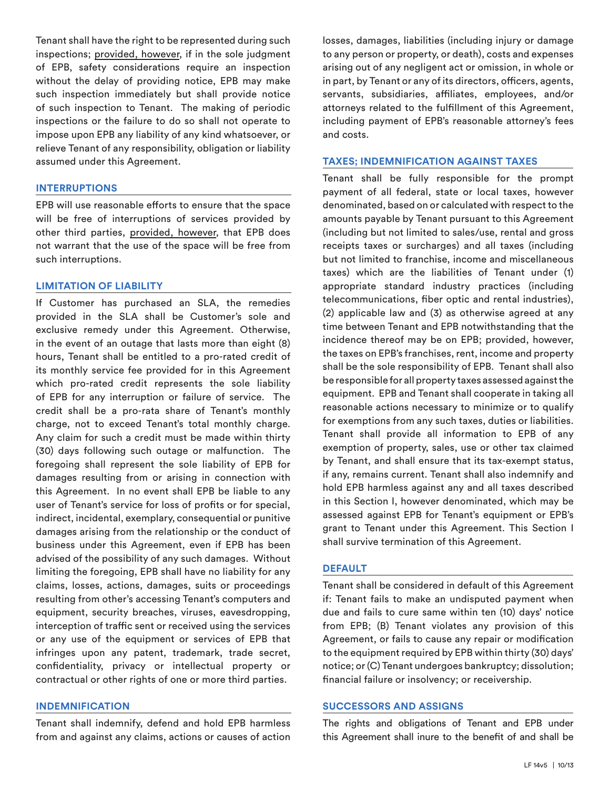Tenant shall have the right to be represented during such inspections; provided, however, if in the sole judgment of EPB, safety considerations require an inspection without the delay of providing notice, EPB may make such inspection immediately but shall provide notice of such inspection to Tenant. The making of periodic inspections or the failure to do so shall not operate to impose upon EPB any liability of any kind whatsoever, or relieve Tenant of any responsibility, obligation or liability assumed under this Agreement.

#### **INTERRUPTIONS**

EPB will use reasonable efforts to ensure that the space will be free of interruptions of services provided by other third parties, provided, however, that EPB does not warrant that the use of the space will be free from such interruptions.

# **LIMITATION OF LIABILITY**

If Customer has purchased an SLA, the remedies provided in the SLA shall be Customer's sole and exclusive remedy under this Agreement. Otherwise, in the event of an outage that lasts more than eight (8) hours, Tenant shall be entitled to a pro-rated credit of its monthly service fee provided for in this Agreement which pro-rated credit represents the sole liability of EPB for any interruption or failure of service. The credit shall be a pro-rata share of Tenant's monthly charge, not to exceed Tenant's total monthly charge. Any claim for such a credit must be made within thirty (30) days following such outage or malfunction. The foregoing shall represent the sole liability of EPB for damages resulting from or arising in connection with this Agreement. In no event shall EPB be liable to any user of Tenant's service for loss of profits or for special, indirect, incidental, exemplary, consequential or punitive damages arising from the relationship or the conduct of business under this Agreement, even if EPB has been advised of the possibility of any such damages. Without limiting the foregoing, EPB shall have no liability for any claims, losses, actions, damages, suits or proceedings resulting from other's accessing Tenant's computers and equipment, security breaches, viruses, eavesdropping, interception of traffic sent or received using the services or any use of the equipment or services of EPB that infringes upon any patent, trademark, trade secret, confidentiality, privacy or intellectual property or contractual or other rights of one or more third parties.

# **INDEMNIFICATION**

Tenant shall indemnify, defend and hold EPB harmless from and against any claims, actions or causes of action losses, damages, liabilities (including injury or damage to any person or property, or death), costs and expenses arising out of any negligent act or omission, in whole or in part, by Tenant or any of its directors, officers, agents, servants, subsidiaries, affiliates, employees, and/or attorneys related to the fulfillment of this Agreement, including payment of EPB's reasonable attorney's fees and costs.

### **TAXES; INDEMNIFICATION AGAINST TAXES**

Tenant shall be fully responsible for the prompt payment of all federal, state or local taxes, however denominated, based on or calculated with respect to the amounts payable by Tenant pursuant to this Agreement (including but not limited to sales/use, rental and gross receipts taxes or surcharges) and all taxes (including but not limited to franchise, income and miscellaneous taxes) which are the liabilities of Tenant under (1) appropriate standard industry practices (including telecommunications, fiber optic and rental industries), (2) applicable law and (3) as otherwise agreed at any time between Tenant and EPB notwithstanding that the incidence thereof may be on EPB; provided, however, the taxes on EPB's franchises, rent, income and property shall be the sole responsibility of EPB. Tenant shall also be responsible for all property taxes assessed against the equipment. EPB and Tenant shall cooperate in taking all reasonable actions necessary to minimize or to qualify for exemptions from any such taxes, duties or liabilities. Tenant shall provide all information to EPB of any exemption of property, sales, use or other tax claimed by Tenant, and shall ensure that its tax-exempt status, if any, remains current. Tenant shall also indemnify and hold EPB harmless against any and all taxes described in this Section I, however denominated, which may be assessed against EPB for Tenant's equipment or EPB's grant to Tenant under this Agreement. This Section I shall survive termination of this Agreement.

# **DEFAULT**

Tenant shall be considered in default of this Agreement if: Tenant fails to make an undisputed payment when due and fails to cure same within ten (10) days' notice from EPB; (B) Tenant violates any provision of this Agreement, or fails to cause any repair or modification to the equipment required by EPB within thirty (30) days' notice; or (C) Tenant undergoes bankruptcy; dissolution; financial failure or insolvency; or receivership.

# **SUCCESSORS AND ASSIGNS**

The rights and obligations of Tenant and EPB under this Agreement shall inure to the benefit of and shall be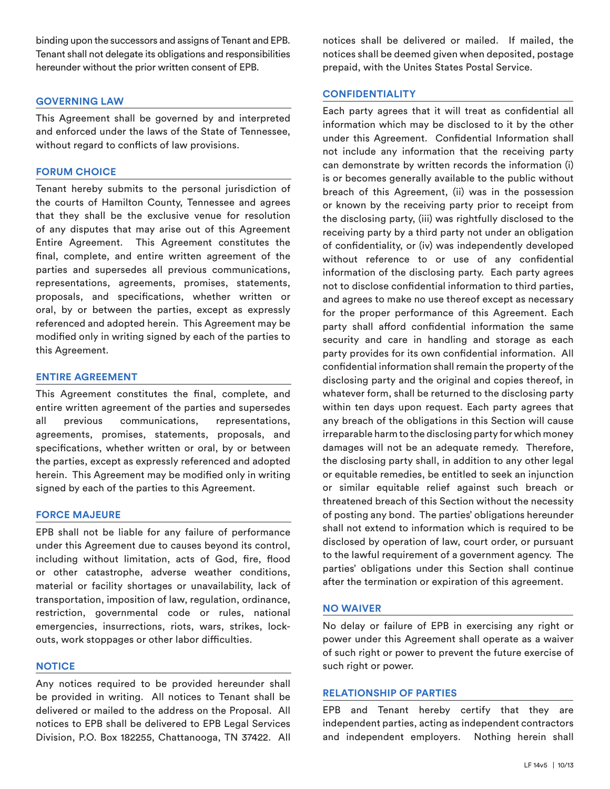binding upon the successors and assigns of Tenant and EPB. Tenant shall not delegate its obligations and responsibilities hereunder without the prior written consent of EPB.

# **GOVERNING LAW**

This Agreement shall be governed by and interpreted and enforced under the laws of the State of Tennessee, without regard to conflicts of law provisions.

### **FORUM CHOICE**

Tenant hereby submits to the personal jurisdiction of the courts of Hamilton County, Tennessee and agrees that they shall be the exclusive venue for resolution of any disputes that may arise out of this Agreement Entire Agreement. This Agreement constitutes the final, complete, and entire written agreement of the parties and supersedes all previous communications, representations, agreements, promises, statements, proposals, and specifications, whether written or oral, by or between the parties, except as expressly referenced and adopted herein. This Agreement may be modified only in writing signed by each of the parties to this Agreement.

### **ENTIRE AGREEMENT**

This Agreement constitutes the final, complete, and entire written agreement of the parties and supersedes all previous communications, representations, agreements, promises, statements, proposals, and specifications, whether written or oral, by or between the parties, except as expressly referenced and adopted herein. This Agreement may be modified only in writing signed by each of the parties to this Agreement.

#### **FORCE MAJEURE**

EPB shall not be liable for any failure of performance under this Agreement due to causes beyond its control, including without limitation, acts of God, fire, flood or other catastrophe, adverse weather conditions, material or facility shortages or unavailability, lack of transportation, imposition of law, regulation, ordinance, restriction, governmental code or rules, national emergencies, insurrections, riots, wars, strikes, lockouts, work stoppages or other labor difficulties.

#### **NOTICE**

Any notices required to be provided hereunder shall be provided in writing. All notices to Tenant shall be delivered or mailed to the address on the Proposal. All notices to EPB shall be delivered to EPB Legal Services Division, P.O. Box 182255, Chattanooga, TN 37422. All notices shall be delivered or mailed. If mailed, the notices shall be deemed given when deposited, postage prepaid, with the Unites States Postal Service.

# **CONFIDENTIALITY**

Each party agrees that it will treat as confidential all information which may be disclosed to it by the other under this Agreement. Confidential Information shall not include any information that the receiving party can demonstrate by written records the information (i) is or becomes generally available to the public without breach of this Agreement, (ii) was in the possession or known by the receiving party prior to receipt from the disclosing party, (iii) was rightfully disclosed to the receiving party by a third party not under an obligation of confidentiality, or (iv) was independently developed without reference to or use of any confidential information of the disclosing party. Each party agrees not to disclose confidential information to third parties, and agrees to make no use thereof except as necessary for the proper performance of this Agreement. Each party shall afford confidential information the same security and care in handling and storage as each party provides for its own confidential information. All confidential information shall remain the property of the disclosing party and the original and copies thereof, in whatever form, shall be returned to the disclosing party within ten days upon request. Each party agrees that any breach of the obligations in this Section will cause irreparable harm to the disclosing party for which money damages will not be an adequate remedy. Therefore, the disclosing party shall, in addition to any other legal or equitable remedies, be entitled to seek an injunction or similar equitable relief against such breach or threatened breach of this Section without the necessity of posting any bond. The parties' obligations hereunder shall not extend to information which is required to be disclosed by operation of law, court order, or pursuant to the lawful requirement of a government agency. The parties' obligations under this Section shall continue after the termination or expiration of this agreement.

#### **NO WAIVER**

No delay or failure of EPB in exercising any right or power under this Agreement shall operate as a waiver of such right or power to prevent the future exercise of such right or power.

#### **RELATIONSHIP OF PARTIES**

EPB and Tenant hereby certify that they are independent parties, acting as independent contractors and independent employers. Nothing herein shall